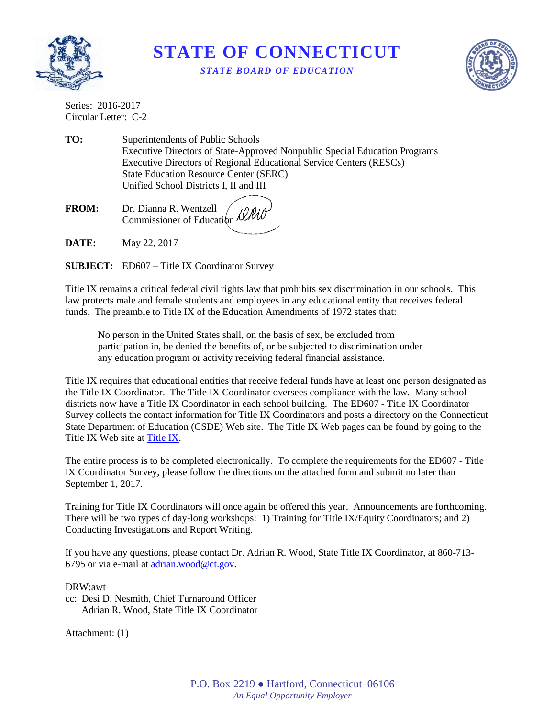

## **STATE OF CONNECTICUT** *STATE BOARD OF EDUCATION*



Series: 2016-2017 Circular Letter: C-2

**TO:** Superintendents of Public Schools Executive Directors of State-Approved Nonpublic Special Education Programs Executive Directors of Regional Educational Service Centers (RESCs) State Education Resource Center (SERC) Unified School Districts I, II and III

**FROM:** Dr. Dianna R. Wentzell Commissioner of Education

**DATE:** May 22, 2017

**SUBJECT:** ED607 **–** Title IX Coordinator Survey

Title IX remains a critical federal civil rights law that prohibits sex discrimination in our schools. This law protects male and female students and employees in any educational entity that receives federal funds. The preamble to Title IX of the Education Amendments of 1972 states that:

No person in the United States shall, on the basis of sex, be excluded from participation in, be denied the benefits of, or be subjected to discrimination under any education program or activity receiving federal financial assistance.

Title IX requires that educational entities that receive federal funds have at least one person designated as the Title IX Coordinator. The Title IX Coordinator oversees compliance with the law. Many school districts now have a Title IX Coordinator in each school building. The ED607 - Title IX Coordinator Survey collects the contact information for Title IX Coordinators and posts a directory on the Connecticut State Department of Education (CSDE) Web site. The Title IX Web pages can be found by going to the Title IX Web site at [Title IX.](http://www.sde.ct.gov/sde/cwp/view.asp?a=2681&q=320472)

The entire process is to be completed electronically. To complete the requirements for the ED607 - Title IX Coordinator Survey, please follow the directions on the attached form and submit no later than September 1, 2017.

Training for Title IX Coordinators will once again be offered this year. Announcements are forthcoming. There will be two types of day-long workshops: 1) Training for Title IX/Equity Coordinators; and 2) Conducting Investigations and Report Writing.

If you have any questions, please contact Dr. Adrian R. Wood, State Title IX Coordinator, at 860-713- 6795 or via e-mail at [adrian.wood@ct.gov.](mailto:adrian.wood@ct.gov)

DRW:awt

cc: Desi D. Nesmith, Chief Turnaround Officer Adrian R. Wood, State Title IX Coordinator

Attachment: (1)